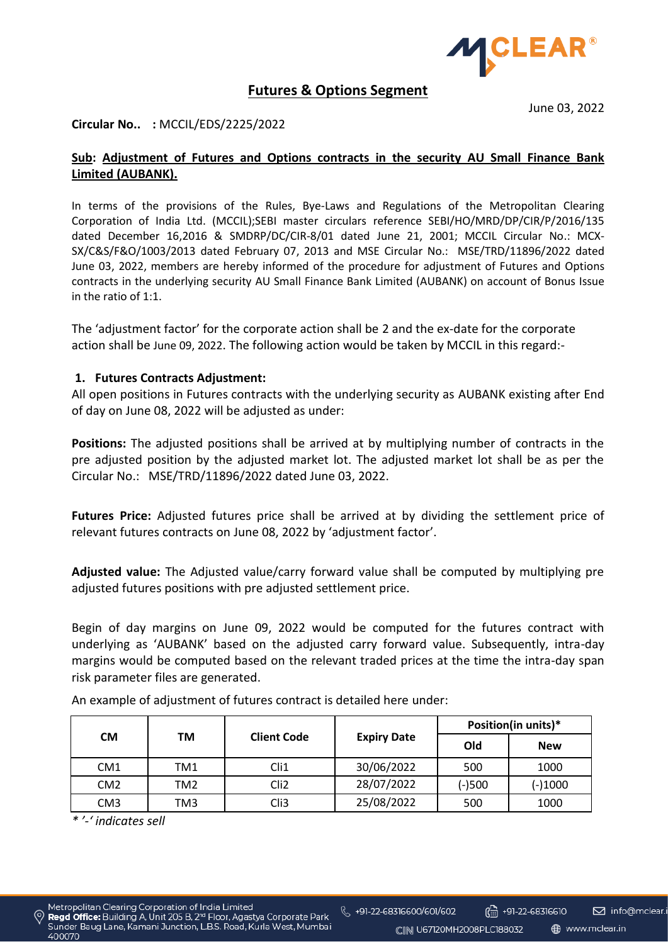

# **Futures & Options Segment**

June 03, 2022

## **Circular No.. :** MCCIL/EDS/2225/2022

## **Sub: Adjustment of Futures and Options contracts in the security AU Small Finance Bank Limited (AUBANK).**

In terms of the provisions of the Rules, Bye-Laws and Regulations of the Metropolitan Clearing Corporation of India Ltd. (MCCIL);SEBI master circulars reference SEBI/HO/MRD/DP/CIR/P/2016/135 dated December 16,2016 & SMDRP/DC/CIR-8/01 dated June 21, 2001; MCCIL Circular No.: MCX-SX/C&S/F&O/1003/2013 dated February 07, 2013 and MSE Circular No.: MSE/TRD/11896/2022 dated June 03, 2022, members are hereby informed of the procedure for adjustment of Futures and Options contracts in the underlying security AU Small Finance Bank Limited (AUBANK) on account of Bonus Issue in the ratio of 1:1.

The 'adjustment factor' for the corporate action shall be 2 and the ex-date for the corporate action shall be June 09, 2022. The following action would be taken by MCCIL in this regard:-

#### **1. Futures Contracts Adjustment:**

All open positions in Futures contracts with the underlying security as AUBANK existing after End of day on June 08, 2022 will be adjusted as under:

**Positions:** The adjusted positions shall be arrived at by multiplying number of contracts in the pre adjusted position by the adjusted market lot. The adjusted market lot shall be as per the Circular No.: MSE/TRD/11896/2022 dated June 03, 2022.

**Futures Price:** Adjusted futures price shall be arrived at by dividing the settlement price of relevant futures contracts on June 08, 2022 by 'adjustment factor'.

**Adjusted value:** The Adjusted value/carry forward value shall be computed by multiplying pre adjusted futures positions with pre adjusted settlement price.

Begin of day margins on June 09, 2022 would be computed for the futures contract with underlying as 'AUBANK' based on the adjusted carry forward value. Subsequently, intra-day margins would be computed based on the relevant traded prices at the time the intra-day span risk parameter files are generated.

| <b>CM</b>       | ТM  | <b>Client Code</b> |                    | Position(in units)* |            |
|-----------------|-----|--------------------|--------------------|---------------------|------------|
|                 |     |                    | <b>Expiry Date</b> | Old                 | <b>New</b> |
| CM <sub>1</sub> | TM1 | Cli1               | 30/06/2022         | 500                 | 1000       |
| CM <sub>2</sub> | TM2 | Cli <sub>2</sub>   | 28/07/2022         | $(-)500$            | $(-)1000$  |
| CM <sub>3</sub> | TM3 | Cli3               | 25/08/2022         | 500                 | 1000       |

An example of adjustment of futures contract is detailed here under:

*\* '-' indicates sell* 

 $\binom{15}{11}$  +91-22-68316610

CIIN U67120MH2008PLC188032